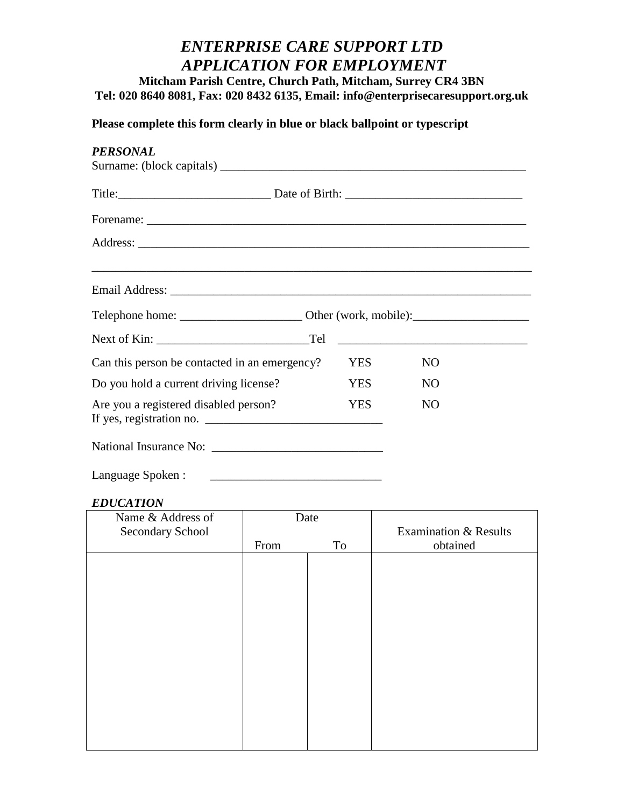# *ENTERPRISE CARE SUPPORT LTD APPLICATION FOR EMPLOYMENT*

**Mitcham Parish Centre, Church Path, Mitcham, Surrey CR4 3BN Tel: 020 8640 8081, Fax: 020 8432 6135, Email: info@enterprisecaresupport.org.uk**

# **Please complete this form clearly in blue or black ballpoint or typescript**

| <b>PERSONAL</b>                               |            |                |  |
|-----------------------------------------------|------------|----------------|--|
|                                               |            |                |  |
|                                               |            |                |  |
|                                               |            |                |  |
|                                               |            |                |  |
|                                               |            |                |  |
|                                               |            |                |  |
| Can this person be contacted in an emergency? | YES.       | N <sub>O</sub> |  |
| Do you hold a current driving license?        | YES        | N <sub>O</sub> |  |
| Are you a registered disabled person?         | <b>YES</b> | N <sub>O</sub> |  |
|                                               |            |                |  |
| Language Spoken:                              |            |                |  |

#### *EDUCATION*

| Name & Address of | Date |    |                                  |
|-------------------|------|----|----------------------------------|
| Secondary School  |      |    | <b>Examination &amp; Results</b> |
|                   | From | To | obtained                         |
|                   |      |    |                                  |
|                   |      |    |                                  |
|                   |      |    |                                  |
|                   |      |    |                                  |
|                   |      |    |                                  |
|                   |      |    |                                  |
|                   |      |    |                                  |
|                   |      |    |                                  |
|                   |      |    |                                  |
|                   |      |    |                                  |
|                   |      |    |                                  |
|                   |      |    |                                  |
|                   |      |    |                                  |
|                   |      |    |                                  |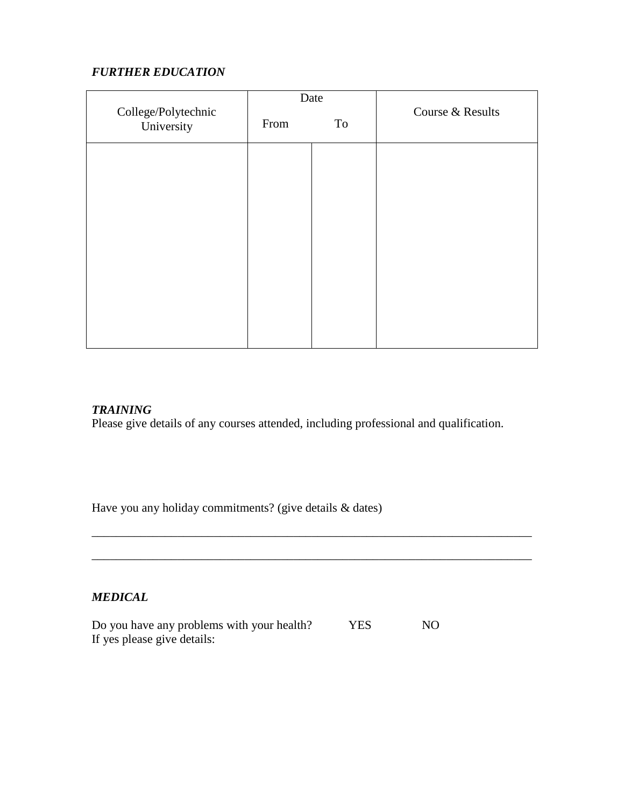# *FURTHER EDUCATION*

| Date                              |      |    |                  |
|-----------------------------------|------|----|------------------|
| College/Polytechnic<br>University | From | To | Course & Results |
|                                   |      |    |                  |
|                                   |      |    |                  |
|                                   |      |    |                  |
|                                   |      |    |                  |
|                                   |      |    |                  |
|                                   |      |    |                  |
|                                   |      |    |                  |

#### *TRAINING*

Please give details of any courses attended, including professional and qualification.

\_\_\_\_\_\_\_\_\_\_\_\_\_\_\_\_\_\_\_\_\_\_\_\_\_\_\_\_\_\_\_\_\_\_\_\_\_\_\_\_\_\_\_\_\_\_\_\_\_\_\_\_\_\_\_\_\_\_\_\_\_\_\_\_\_\_\_\_\_\_\_\_

\_\_\_\_\_\_\_\_\_\_\_\_\_\_\_\_\_\_\_\_\_\_\_\_\_\_\_\_\_\_\_\_\_\_\_\_\_\_\_\_\_\_\_\_\_\_\_\_\_\_\_\_\_\_\_\_\_\_\_\_\_\_\_\_\_\_\_\_\_\_\_\_

Have you any holiday commitments? (give details & dates)

### *MEDICAL*

Do you have any problems with your health? YES NO If yes please give details: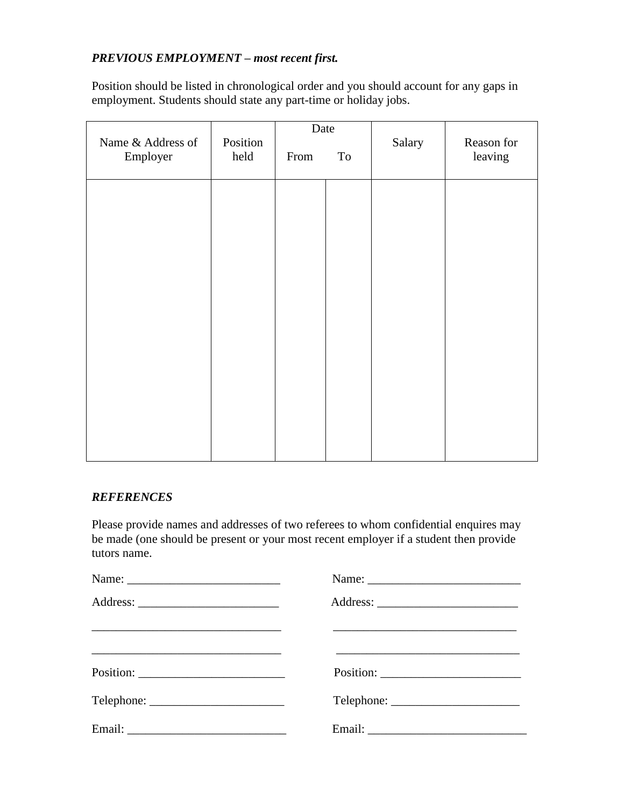# *PREVIOUS EMPLOYMENT – most recent first.*

Position should be listed in chronological order and you should account for any gaps in employment. Students should state any part-time or holiday jobs.

|                   |          | Date |    |        |            |
|-------------------|----------|------|----|--------|------------|
| Name & Address of | Position |      |    | Salary | Reason for |
| Employer          | held     | From | To |        | leaving    |
|                   |          |      |    |        |            |
|                   |          |      |    |        |            |
|                   |          |      |    |        |            |
|                   |          |      |    |        |            |
|                   |          |      |    |        |            |
|                   |          |      |    |        |            |
|                   |          |      |    |        |            |
|                   |          |      |    |        |            |
|                   |          |      |    |        |            |
|                   |          |      |    |        |            |
|                   |          |      |    |        |            |
|                   |          |      |    |        |            |
|                   |          |      |    |        |            |
|                   |          |      |    |        |            |
|                   |          |      |    |        |            |
|                   |          |      |    |        |            |
|                   |          |      |    |        |            |
|                   |          |      |    |        |            |

### *REFERENCES*

Please provide names and addresses of two referees to whom confidential enquires may be made (one should be present or your most recent employer if a student then provide tutors name.

| <u> 1990 - Jan James James James James James James James James James James James James James James James James J</u> |  |
|----------------------------------------------------------------------------------------------------------------------|--|
|                                                                                                                      |  |
|                                                                                                                      |  |
|                                                                                                                      |  |
|                                                                                                                      |  |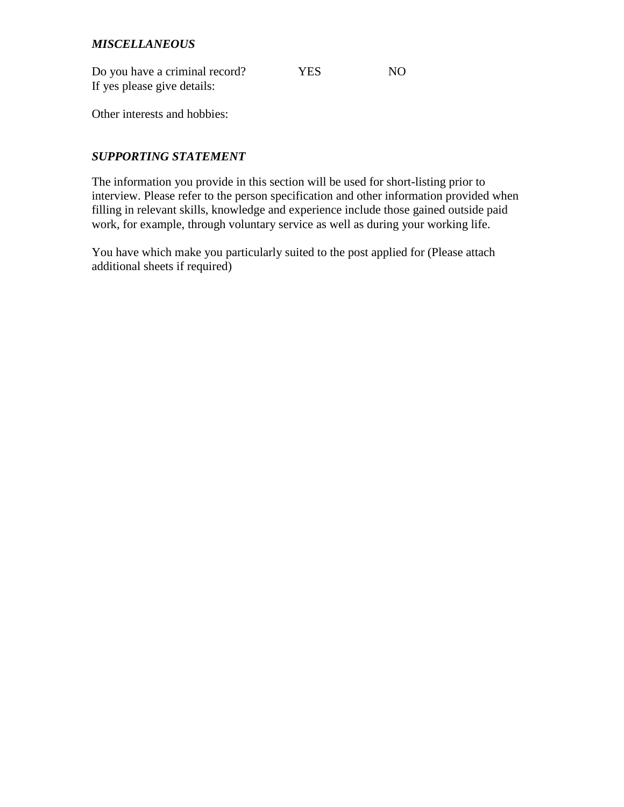### *MISCELLANEOUS*

| Do you have a criminal record? | <b>YES</b> | NO |
|--------------------------------|------------|----|
| If yes please give details:    |            |    |

Other interests and hobbies:

## *SUPPORTING STATEMENT*

The information you provide in this section will be used for short-listing prior to interview. Please refer to the person specification and other information provided when filling in relevant skills, knowledge and experience include those gained outside paid work, for example, through voluntary service as well as during your working life.

You have which make you particularly suited to the post applied for (Please attach additional sheets if required)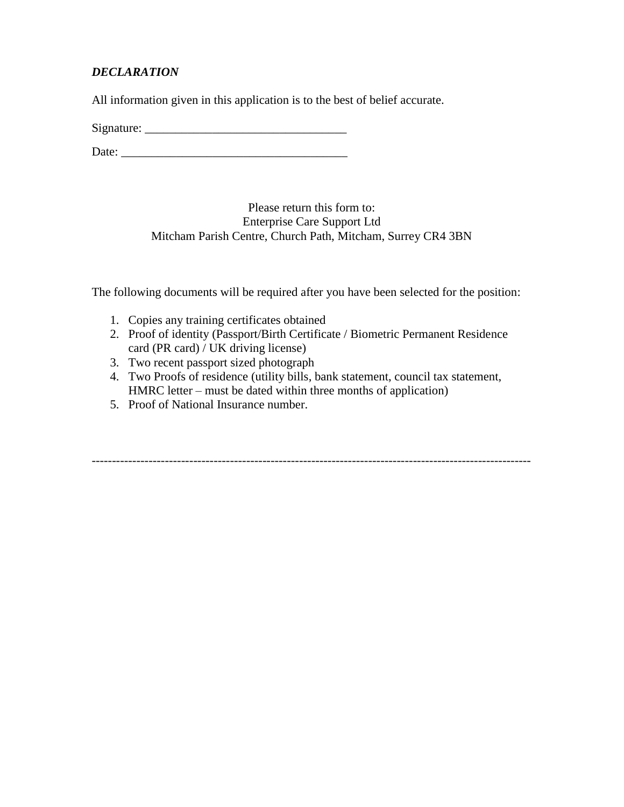# *DECLARATION*

All information given in this application is to the best of belief accurate.

 $Signature:$ 

Date: \_\_\_\_\_\_\_\_\_\_\_\_\_\_\_\_\_\_\_\_\_\_\_\_\_\_\_\_\_\_\_\_\_\_\_\_\_

Please return this form to: Enterprise Care Support Ltd Mitcham Parish Centre, Church Path, Mitcham, Surrey CR4 3BN

The following documents will be required after you have been selected for the position:

- 1. Copies any training certificates obtained
- 2. Proof of identity (Passport/Birth Certificate / Biometric Permanent Residence card (PR card) / UK driving license)
- 3. Two recent passport sized photograph
- 4. Two Proofs of residence (utility bills, bank statement, council tax statement, HMRC letter – must be dated within three months of application)

------------------------------------------------------------------------------------------------------------

5. Proof of National Insurance number.